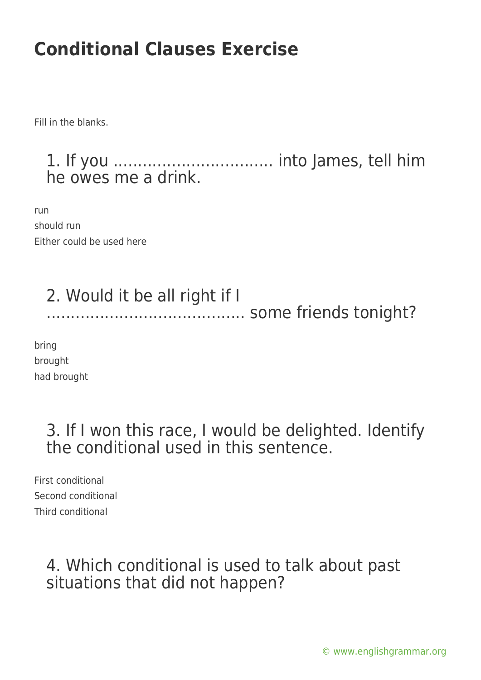Fill in the blanks.

#### 1. If you ................................. into James, tell him he owes me a drink.

run should run Either could be used here

# 2. Would it be all right if I ......................................... some friends tonight?

bring brought had brought

### 3. If I won this race, I would be delighted. Identify the conditional used in this sentence.

First conditional Second conditional Third conditional

### 4. Which conditional is used to talk about past situations that did not happen?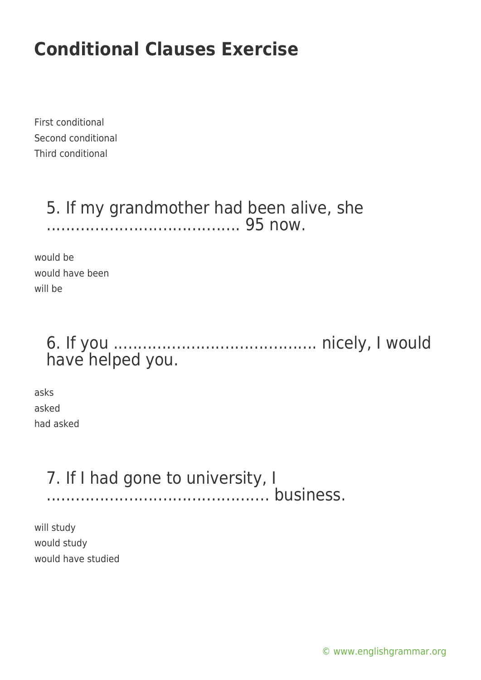First conditional Second conditional Third conditional

#### 5. If my grandmother had been alive, she ........................................ 95 now.

would be would have been will be

### 6. If you .......................................... nicely, I would have helped you.

asks asked had asked

### 7. If I had gone to university, I .............................................. business.

will study would study would have studied

[© www.englishgrammar.org](https://www.englishgrammar.org/)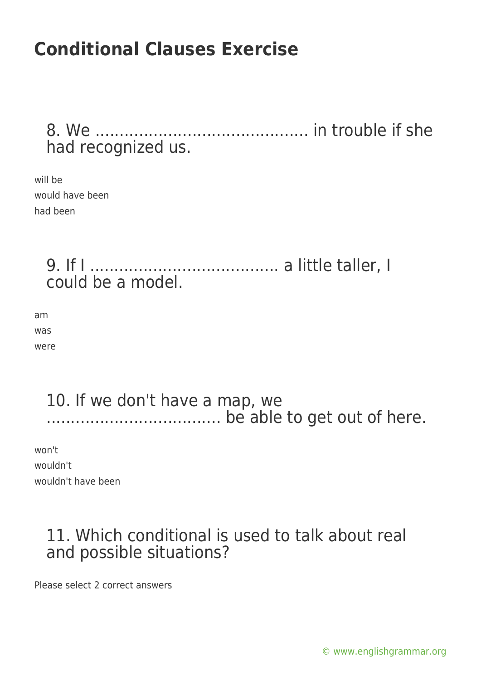8. We ............................................ in trouble if she had recognized us.

will be would have been had been

> 9. If I ....................................... a little taller, I could be a model.

am was were

#### 10. If we don't have a map, we .................................... be able to get out of here.

won't wouldn't wouldn't have been

### 11. Which conditional is used to talk about real and possible situations?

Please select 2 correct answers